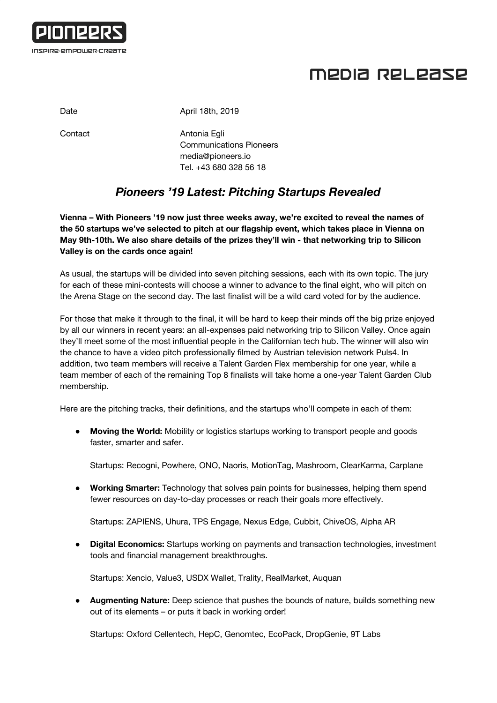

## MEDIA RELEASE

Date **Date** April 18th, 2019

Contact **Antonia Egli** Communications Pioneers [media@pioneers.io](mailto:media@pioneers.io) Tel. +43 680 328 56 18

## *Pioneers '19 Latest: Pitching Startups Revealed*

**Vienna – With Pioneers '19 now just three weeks away, we're excited to reveal the names of the 50 startups we've selected to pitch at our flagship event, which takes place in Vienna on May 9th-10th. We also share details of the prizes they'll win - that networking trip to Silicon Valley is on the cards once again!**

As usual, the startups will be divided into seven pitching sessions, each with its own topic. The jury for each of these mini-contests will choose a winner to advance to the final eight, who will pitch on the Arena Stage on the second day. The last finalist will be a wild card voted for by the audience.

For those that make it through to the final, it will be hard to keep their minds off the big prize enjoyed by all our winners in recent years: an all-expenses paid networking trip to Silicon Valley. Once again they'll meet some of the most influential people in the Californian tech hub. The winner will also win the chance to have a video pitch professionally filmed by Austrian television network Puls4. In addition, two team members will receive a Talent Garden Flex membership for one year, while a team member of each of the remaining Top 8 finalists will take home a one-year Talent Garden Club membership.

Here are the pitching tracks, their definitions, and the startups who'll compete in each of them:

● **Moving the World:** Mobility or logistics startups working to transport people and goods faster, smarter and safer.

Startups: Recogni, Powhere, ONO, Naoris, MotionTag, Mashroom, ClearKarma, Carplane

● **Working Smarter:** Technology that solves pain points for businesses, helping them spend fewer resources on day-to-day processes or reach their goals more effectively.

Startups: ZAPIENS, Uhura, TPS Engage, Nexus Edge, Cubbit, ChiveOS, Alpha AR

● **Digital Economics:** Startups working on payments and transaction technologies, investment tools and financial management breakthroughs.

Startups: Xencio, Value3, USDX Wallet, Trality, RealMarket, Auquan

● **Augmenting Nature:** Deep science that pushes the bounds of nature, builds something new out of its elements – or puts it back in working order!

Startups: Oxford Cellentech, HepC, Genomtec, EcoPack, DropGenie, 9T Labs